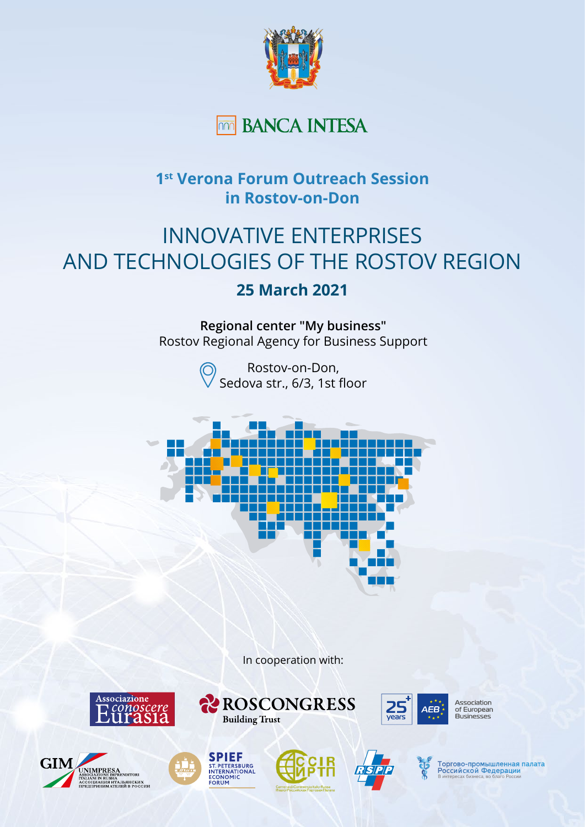



## **1st Verona Forum Outreach Session in Rostov-on-Don**

## INNOVATIVE ENTERPRISES AND TECHNOLOGIES OF THE ROSTOV REGION **25 March 2021**

**Regional center "My business"** Rostov Regional Agency for Business Support

> Rostov-on-Don, Sedova str., 6/3, 1st floor



In cooperation with:

**ROSCONGRESS** 

**Building Trust** 











 $\sum_{\text{year}}$ 

**AFR** 

Association<br>of European Businesses

.<br>Торгово-промышленная палата<br>Российской Федерации